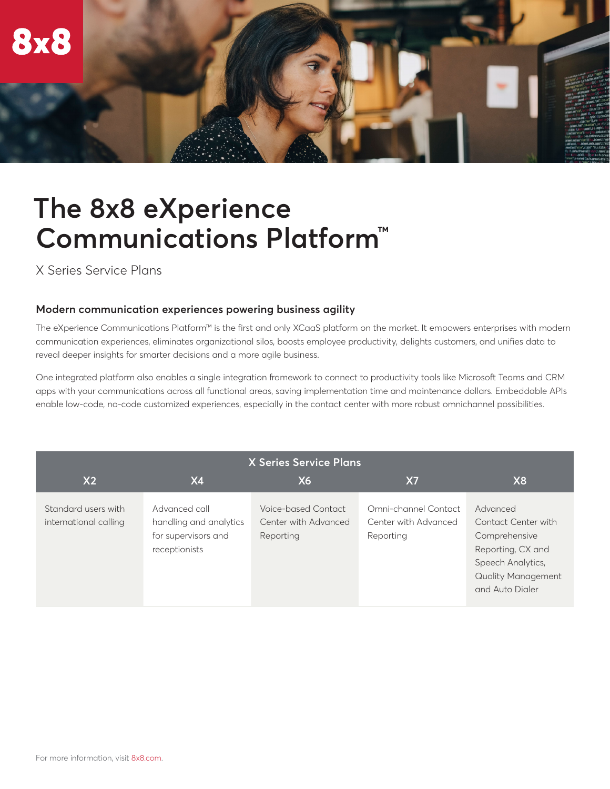

## **The 8x8 eXperience Communications Platform™**

X Series Service Plans

## **Modern communication experiences powering business agility**

The eXperience Communications Platform™ is the first and only XCaaS platform on the market. It empowers enterprises with modern communication experiences, eliminates organizational silos, boosts employee productivity, delights customers, and unifies data to reveal deeper insights for smarter decisions and a more agile business.

One integrated platform also enables a single integration framework to connect to productivity tools like Microsoft Teams and CRM apps with your communications across all functional areas, saving implementation time and maintenance dollars. Embeddable APIs enable low-code, no-code customized experiences, especially in the contact center with more robust omnichannel possibilities.

| X Series Service Plans                       |                                                                                 |                                                          |                                                           |                                                                                                                                            |  |  |  |  |
|----------------------------------------------|---------------------------------------------------------------------------------|----------------------------------------------------------|-----------------------------------------------------------|--------------------------------------------------------------------------------------------------------------------------------------------|--|--|--|--|
| X <sub>2</sub>                               | <b>X4</b>                                                                       | <b>X6</b>                                                | <b>X7</b>                                                 | X <sub>8</sub>                                                                                                                             |  |  |  |  |
| Standard users with<br>international calling | Advanced call<br>handling and analytics<br>for supervisors and<br>receptionists | Voice-based Contact<br>Center with Advanced<br>Reporting | Omni-channel Contact<br>Center with Advanced<br>Reporting | Advanced<br>Contact Center with<br>Comprehensive<br>Reporting, CX and<br>Speech Analytics,<br><b>Quality Management</b><br>and Auto Dialer |  |  |  |  |